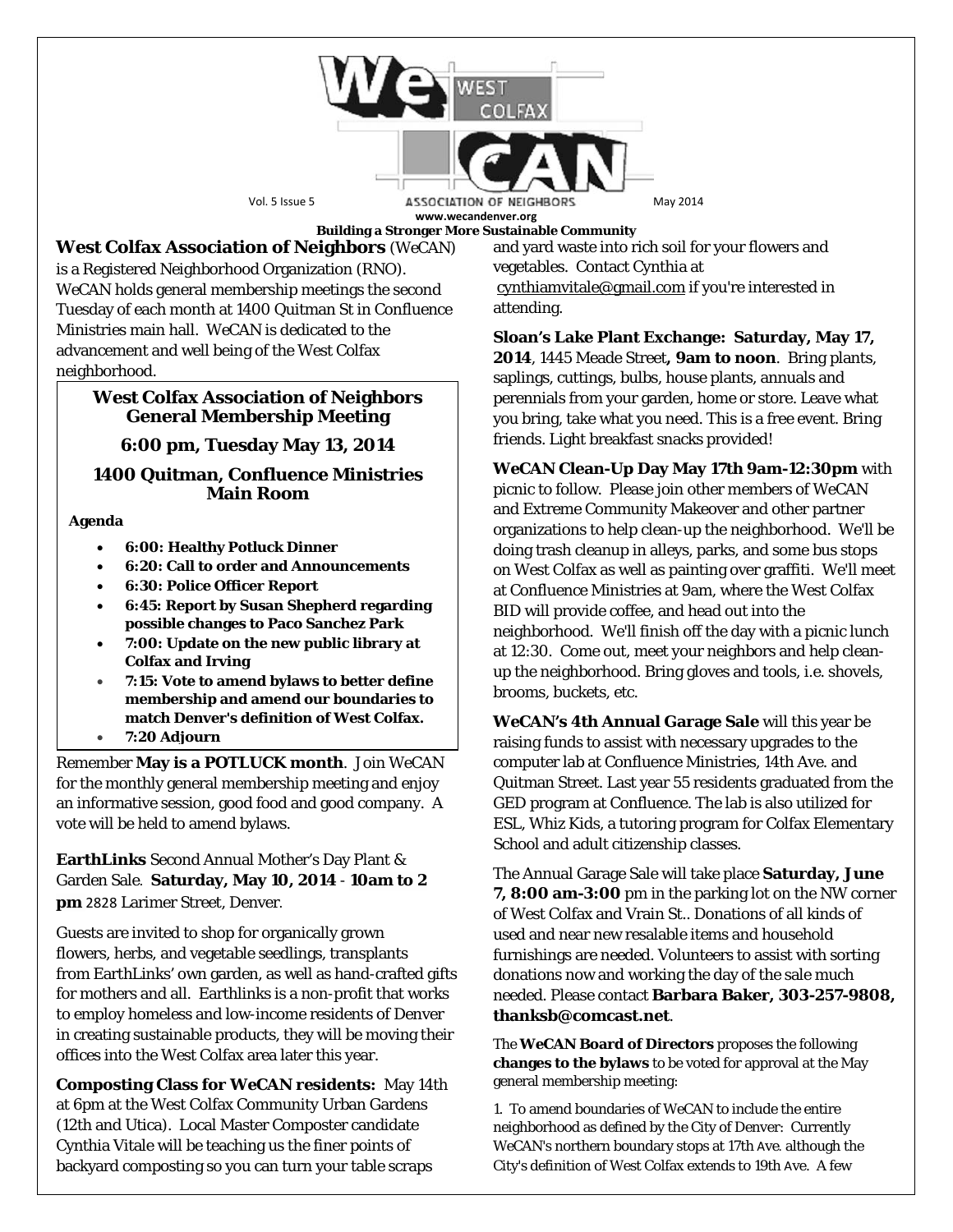

**Building a Stronger More Sustainable Community**

**West Colfax Association of Neighbors** (*WeCAN*) is a Registered Neighborhood Organization (RNO). *WeCAN* holds general membership meetings the second Tuesday of each month at 1400 Quitman St in Confluence Ministries main hall. *WeCAN* is dedicated to the advancement and well being of the West Colfax neighborhood.

## **West Colfax Association of Neighbors General Membership Meeting**

# **6:00 pm, Tuesday May 13, 2014**

## **1400 Quitman, Confluence Ministries Main Room**

## **Agenda**

- **6:00: Healthy Potluck Dinner**
- **6:20: Call to order and Announcements**
- **6:30: Police Officer Report**
- **6:45: Report by Susan Shepherd regarding possible changes to Paco Sanchez Park**
- **7:00: Update on the new public library at Colfax and Irving**
- **7:15: Vote to amend bylaws to better define membership and amend our boundaries to match Denver's definition of West Colfax.**
- **7:20 Adjourn**

Remember **May is a POTLUCK month**. Join *WeCAN* for the monthly general membership meeting and enjoy an informative session, good food and good company. A vote will be held to amend bylaws.

**EarthLinks** Second Annual Mother's Day Plant & Garden Sale. **Saturday, May 10, 2014** - **10am to 2 pm** 2828 Larimer Street, Denver.

Guests are invited to shop for organically grown flowers, herbs, and vegetable seedlings, transplants from EarthLinks' own garden, as well as hand-crafted gifts for mothers and all. Earthlinks is a non-profit that works to employ homeless and low-income residents of Denver in creating sustainable products, they will be moving their offices into the West Colfax area later this year.

**Composting Class for** *WeCAN* **residents:** May 14th at 6pm at the West Colfax Community Urban Gardens (12th and Utica). Local Master Composter candidate Cynthia Vitale will be teaching us the finer points of backyard composting so you can turn your table scraps

and yard waste into rich soil for your flowers and vegetables. Contact Cynthia at [cynthiamvitale@gmail.com](mailto:cynthiamvitale@gmail.com) if you're interested in attending.

**Sloan's Lake Plant Exchange: Saturday, May 17, 2014**, 1445 Meade Street**, 9am to noon**. Bring plants, saplings, cuttings, bulbs, house plants, annuals and perennials from your garden, home or store. Leave what you bring, take what you need. This is a free event. Bring friends. Light breakfast snacks provided!

*WeCAN* **Clean-Up Day May 17th 9am-12:30pm** with picnic to follow. Please join other members of WeCAN and Extreme Community Makeover and other partner organizations to help clean-up the neighborhood. We'll be doing trash cleanup in alleys, parks, and some bus stops on West Colfax as well as painting over graffiti. We'll meet at Confluence Ministries at 9am, where the West Colfax BID will provide coffee, and head out into the neighborhood. We'll finish off the day with a picnic lunch at 12:30. Come out, meet your neighbors and help cleanup the neighborhood. Bring gloves and tools, i.e. shovels, brooms, buckets, etc.

*WeCAN***'s 4th Annual Garage Sale** will this year be raising funds to assist with necessary upgrades to the computer lab at Confluence Ministries, 14th Ave. and Quitman Street. Last year 55 residents graduated from the GED program at Confluence. The lab is also utilized for ESL, Whiz Kids, a tutoring program for Colfax Elementary School and adult citizenship classes.

The Annual Garage Sale will take place **Saturday, June 7, 8:00 am-3:00** pm in the parking lot on the NW corner of West Colfax and Vrain St.. Donations of all kinds of used and near new resalable items and household furnishings are needed. Volunteers to assist with sorting donations now and working the day of the sale much needed. Please contact **Barbara Baker, 303-257-9808, thanksb@comcast.net**.

The *WeCAN* **Board of Directors** proposes the following **changes to the bylaws** to be voted for approval at the May general membership meeting:

1. To amend boundaries of *WeCAN* to include the entire neighborhood as defined by the City of Denver: Currently *WeCAN*'s northern boundary stops at 17th Ave. although the City's definition of West Colfax extends to 19th Ave. A few